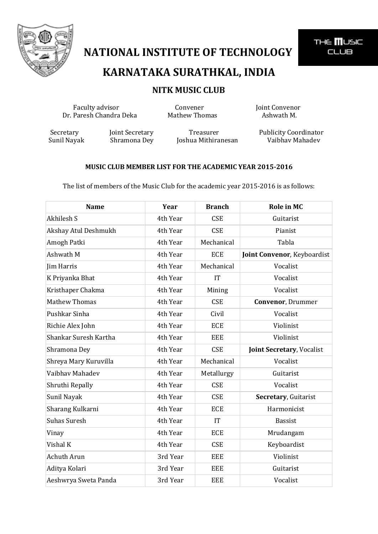

### **KARNATAKA SURATHKAL, INDIA**

#### **NITK MUSIC CLUB**

Faculty advisor **Convener** Convener **Joint Convenor**<br>Paresh Chandra Deka Mathew Thomas Ashwath M. Dr. Paresh Chandra Deka Mathew Thomas

Sunil Nayak Shramona Dey Joshua Mithiranesan Vaibhav Mahadev

Secretary Joint Secretary Treasurer Publicity Coordinator

THE **MUSIC CLUB** 

#### **MUSIC CLUB MEMBER LIST FOR THE ACADEMIC YEAR 2015-2016**

The list of members of the Music Club for the academic year 2015-2016 is as follows:

| <b>Name</b>           | Year     | <b>Branch</b> | <b>Role in MC</b>                |
|-----------------------|----------|---------------|----------------------------------|
| Akhilesh S            | 4th Year | <b>CSE</b>    | Guitarist                        |
| Akshay Atul Deshmukh  | 4th Year | <b>CSE</b>    | Pianist                          |
| Amogh Patki           | 4th Year | Mechanical    | Tabla                            |
| Ashwath M             | 4th Year | <b>ECE</b>    | Joint Convenor, Keyboardist      |
| Jim Harris            | 4th Year | Mechanical    | Vocalist                         |
| K Priyanka Bhat       | 4th Year | IT            | Vocalist                         |
| Kristhaper Chakma     | 4th Year | Mining        | Vocalist                         |
| <b>Mathew Thomas</b>  | 4th Year | <b>CSE</b>    | <b>Convenor, Drummer</b>         |
| Pushkar Sinha         | 4th Year | Civil         | Vocalist                         |
| Richie Alex John      | 4th Year | <b>ECE</b>    | Violinist                        |
| Shankar Suresh Kartha | 4th Year | <b>EEE</b>    | Violinist                        |
| Shramona Dey          | 4th Year | <b>CSE</b>    | <b>Joint Secretary, Vocalist</b> |
| Shreya Mary Kuruvilla | 4th Year | Mechanical    | Vocalist                         |
| Vaibhav Mahadev       | 4th Year | Metallurgy    | Guitarist                        |
| Shruthi Repally       | 4th Year | <b>CSE</b>    | Vocalist                         |
| Sunil Nayak           | 4th Year | <b>CSE</b>    | Secretary, Guitarist             |
| Sharang Kulkarni      | 4th Year | <b>ECE</b>    | Harmonicist                      |
| <b>Suhas Suresh</b>   | 4th Year | IT            | <b>Bassist</b>                   |
| Vinay                 | 4th Year | <b>ECE</b>    | Mrudangam                        |
| Vishal K              | 4th Year | <b>CSE</b>    | Keyboardist                      |
| Achuth Arun           | 3rd Year | <b>EEE</b>    | Violinist                        |
| Aditya Kolari         | 3rd Year | <b>EEE</b>    | Guitarist                        |
| Aeshwrya Sweta Panda  | 3rd Year | <b>EEE</b>    | Vocalist                         |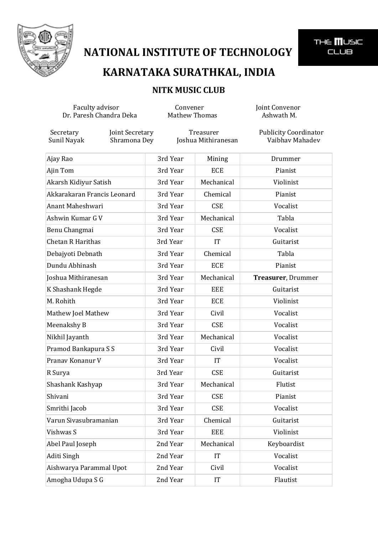

THE **III**USIC<br>CLUB

## **KARNATAKA SURATHKAL, INDIA**

#### **NITK MUSIC CLUB**

| Faculty advisor<br>Dr. Paresh Chandra Deka |                                 | Convener<br><b>Mathew Thomas</b> |            | Joint Convenor<br>Ashwath M.                    |
|--------------------------------------------|---------------------------------|----------------------------------|------------|-------------------------------------------------|
| Secretary<br>Sunil Nayak                   | Joint Secretary<br>Shramona Dey | Treasurer<br>Joshua Mithiranesan |            | <b>Publicity Coordinator</b><br>Vaibhav Mahadev |
| Ajay Rao                                   |                                 | 3rd Year                         | Mining     | Drummer                                         |
| Ajin Tom                                   |                                 | 3rd Year                         | <b>ECE</b> | Pianist                                         |
| Akarsh Kidiyur Satish                      |                                 | 3rd Year                         | Mechanical | Violinist                                       |
| Akkarakaran Francis Leonard                |                                 | 3rd Year                         | Chemical   | Pianist                                         |
| Anant Maheshwari                           |                                 | 3rd Year                         | <b>CSE</b> | Vocalist                                        |
| Ashwin Kumar G V                           |                                 | 3rd Year                         | Mechanical | Tabla                                           |
| Benu Changmai                              |                                 | 3rd Year                         | <b>CSE</b> | Vocalist                                        |
| Chetan R Harithas                          |                                 | 3rd Year                         | IT         | Guitarist                                       |
| Debajyoti Debnath                          |                                 | 3rd Year                         | Chemical   | Tabla                                           |
| Dundu Abhinash                             |                                 | 3rd Year                         | <b>ECE</b> | Pianist                                         |
| Joshua Mithiranesan                        |                                 | 3rd Year                         | Mechanical | Treasurer, Drummer                              |
| K Shashank Hegde                           |                                 | 3rd Year                         | <b>EEE</b> | Guitarist                                       |
| M. Rohith                                  |                                 | 3rd Year                         | ECE        | Violinist                                       |
| Mathew Joel Mathew                         |                                 | 3rd Year                         | Civil      | Vocalist                                        |
| Meenakshy B                                |                                 | 3rd Year                         | <b>CSE</b> | Vocalist                                        |
| Nikhil Jayanth                             |                                 | 3rd Year                         | Mechanical | Vocalist                                        |
| Pramod Bankapura S S                       |                                 | 3rd Year                         | Civil      | Vocalist                                        |
| Pranav Konanur V                           |                                 | 3rd Year                         | IT         | Vocalist                                        |
| R Surya                                    |                                 | 3rd Year                         | <b>CSE</b> | Guitarist                                       |
| Shashank Kashyap                           |                                 | 3rd Year                         | Mechanical | Flutist                                         |
| Shivani                                    |                                 | 3rd Year                         | <b>CSE</b> | Pianist                                         |
| Smrithi Jacob                              |                                 | 3rd Year                         | <b>CSE</b> | Vocalist                                        |
| Varun Sivasubramanian                      |                                 | 3rd Year                         | Chemical   | Guitarist                                       |
| Vishwas S                                  |                                 | 3rd Year                         | <b>EEE</b> | Violinist                                       |
| Abel Paul Joseph                           |                                 | 2nd Year                         | Mechanical | Keyboardist                                     |
| Aditi Singh                                |                                 | 2nd Year                         | IT         | Vocalist                                        |
| Aishwarya Parammal Upot                    |                                 | 2nd Year                         | Civil      | Vocalist                                        |
| Amogha Udupa S G                           |                                 | 2nd Year                         | IT         | Flautist                                        |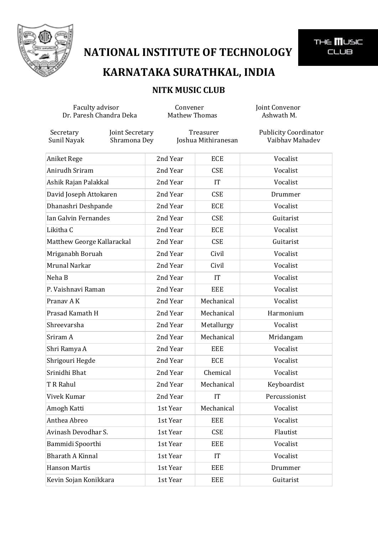

# **KARNATAKA SURATHKAL, INDIA**

THE **III**USIC<br>CLUB

### **NITK MUSIC CLUB**

| Faculty advisor<br>Dr. Paresh Chandra Deka |                                 | Convener<br><b>Mathew Thomas</b> |            | Joint Convenor<br>Ashwath M.                    |
|--------------------------------------------|---------------------------------|----------------------------------|------------|-------------------------------------------------|
| Secretary<br>Sunil Nayak                   | Joint Secretary<br>Shramona Dey | Treasurer<br>Joshua Mithiranesan |            | <b>Publicity Coordinator</b><br>Vaibhav Mahadev |
| Aniket Rege                                |                                 | 2nd Year                         | <b>ECE</b> | Vocalist                                        |
| Anirudh Sriram                             |                                 | 2nd Year                         | <b>CSE</b> | Vocalist                                        |
| Ashik Rajan Palakkal                       |                                 | 2nd Year                         | <b>IT</b>  | Vocalist                                        |
| David Joseph Attokaren                     |                                 | 2nd Year                         | <b>CSE</b> | Drummer                                         |
| Dhanashri Deshpande                        |                                 | 2nd Year                         | <b>ECE</b> | Vocalist                                        |
| Ian Galvin Fernandes                       |                                 | 2nd Year                         | <b>CSE</b> | Guitarist                                       |
| Likitha C                                  |                                 | 2nd Year                         | <b>ECE</b> | Vocalist                                        |
| Matthew George Kallarackal                 |                                 | 2nd Year                         | <b>CSE</b> | Guitarist                                       |
| Mriganabh Boruah                           |                                 | 2nd Year                         | Civil      | Vocalist                                        |
| Mrunal Narkar                              |                                 | 2nd Year                         | Civil      | Vocalist                                        |
| Neha B                                     |                                 | 2nd Year                         | <b>IT</b>  | Vocalist                                        |
| P. Vaishnavi Raman                         |                                 | 2nd Year                         | <b>EEE</b> | Vocalist                                        |
| Pranav AK                                  |                                 | 2nd Year                         | Mechanical | Vocalist                                        |
| Prasad Kamath H                            |                                 | 2nd Year                         | Mechanical | Harmonium                                       |
| Shreevarsha                                |                                 | 2nd Year                         | Metallurgy | Vocalist                                        |
| Sriram A                                   |                                 | 2nd Year                         | Mechanical | Mridangam                                       |
| Shri Ramya A                               |                                 | 2nd Year                         | EEE        | Vocalist                                        |
| Shrigouri Hegde                            |                                 | 2nd Year                         | <b>ECE</b> | Vocalist                                        |
| Srinidhi Bhat                              |                                 | 2nd Year                         | Chemical   | Vocalist                                        |
| T R Rahul                                  |                                 | 2nd Year                         | Mechanical | Keyboardist                                     |
| Vivek Kumar                                |                                 | 2nd Year                         | IT         | Percussionist                                   |
| Amogh Katti                                |                                 | 1st Year                         | Mechanical | Vocalist                                        |
| Anthea Abreo                               |                                 | 1st Year                         | <b>EEE</b> | Vocalist                                        |
| Avinash Devodhar S.                        |                                 | 1st Year                         | <b>CSE</b> | Flautist                                        |
| Bammidi Spoorthi                           |                                 | 1st Year                         | EEE        | Vocalist                                        |
| <b>Bharath A Kinnal</b>                    |                                 | 1st Year                         | IT         | Vocalist                                        |
| <b>Hanson Martis</b>                       |                                 | 1st Year                         | EEE        | Drummer                                         |
| Kevin Sojan Konikkara                      |                                 | 1st Year                         | EEE        | Guitarist                                       |